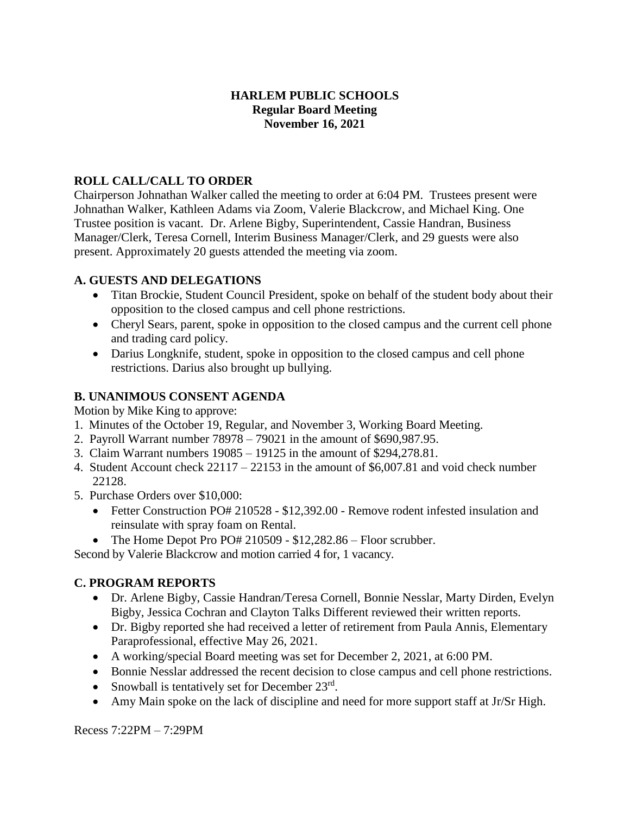#### **HARLEM PUBLIC SCHOOLS Regular Board Meeting November 16, 2021**

### **ROLL CALL/CALL TO ORDER**

Chairperson Johnathan Walker called the meeting to order at 6:04 PM. Trustees present were Johnathan Walker, Kathleen Adams via Zoom, Valerie Blackcrow, and Michael King. One Trustee position is vacant. Dr. Arlene Bigby, Superintendent, Cassie Handran, Business Manager/Clerk, Teresa Cornell, Interim Business Manager/Clerk, and 29 guests were also present. Approximately 20 guests attended the meeting via zoom.

### **A. GUESTS AND DELEGATIONS**

- Titan Brockie, Student Council President, spoke on behalf of the student body about their opposition to the closed campus and cell phone restrictions.
- Cheryl Sears, parent, spoke in opposition to the closed campus and the current cell phone and trading card policy.
- Darius Longknife, student, spoke in opposition to the closed campus and cell phone restrictions. Darius also brought up bullying.

### **B. UNANIMOUS CONSENT AGENDA**

Motion by Mike King to approve:

- 1. Minutes of the October 19, Regular, and November 3, Working Board Meeting.
- 2. Payroll Warrant number 78978 79021 in the amount of \$690,987.95.
- 3. Claim Warrant numbers 19085 19125 in the amount of \$294,278.81.
- 4. Student Account check 22117 22153 in the amount of \$6,007.81 and void check number 22128.
- 5. Purchase Orders over \$10,000:
	- Fetter Construction PO# 210528 \$12,392.00 Remove rodent infested insulation and reinsulate with spray foam on Rental.
	- The Home Depot Pro PO# 210509 \$12,282.86 Floor scrubber.

Second by Valerie Blackcrow and motion carried 4 for, 1 vacancy.

### **C. PROGRAM REPORTS**

- Dr. Arlene Bigby, Cassie Handran/Teresa Cornell, Bonnie Nesslar, Marty Dirden, Evelyn Bigby, Jessica Cochran and Clayton Talks Different reviewed their written reports.
- Dr. Bigby reported she had received a letter of retirement from Paula Annis, Elementary Paraprofessional, effective May 26, 2021.
- A working/special Board meeting was set for December 2, 2021, at 6:00 PM.
- Bonnie Nesslar addressed the recent decision to close campus and cell phone restrictions.
- Snowball is tentatively set for December  $23^{\text{rd}}$ .
- Amy Main spoke on the lack of discipline and need for more support staff at Jr/Sr High.

Recess 7:22PM – 7:29PM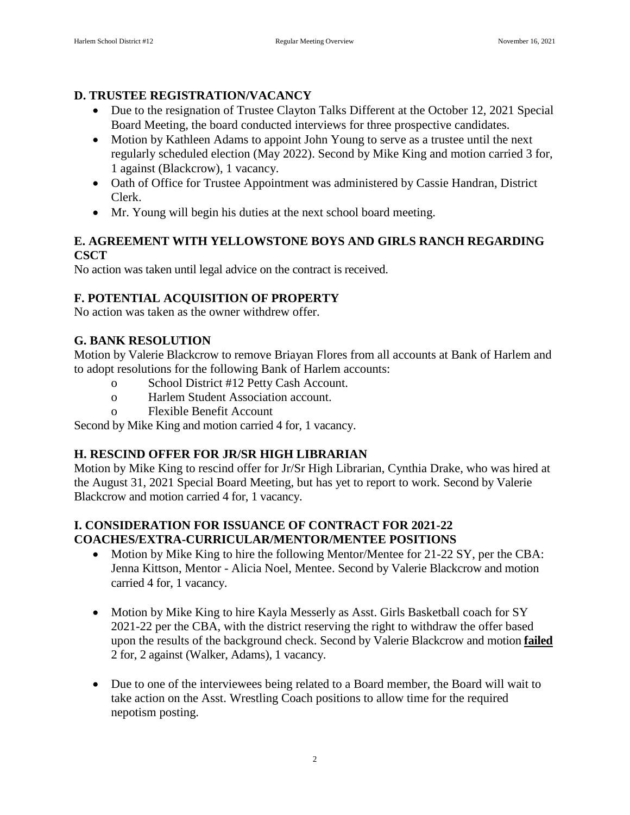### **D. TRUSTEE REGISTRATION/VACANCY**

- Due to the resignation of Trustee Clayton Talks Different at the October 12, 2021 Special Board Meeting, the board conducted interviews for three prospective candidates.
- Motion by Kathleen Adams to appoint John Young to serve as a trustee until the next regularly scheduled election (May 2022). Second by Mike King and motion carried 3 for, 1 against (Blackcrow), 1 vacancy.
- Oath of Office for Trustee Appointment was administered by Cassie Handran, District Clerk.
- Mr. Young will begin his duties at the next school board meeting.

### **E. AGREEMENT WITH YELLOWSTONE BOYS AND GIRLS RANCH REGARDING CSCT**

No action was taken until legal advice on the contract is received.

# **F. POTENTIAL ACQUISITION OF PROPERTY**

No action was taken as the owner withdrew offer.

# **G. BANK RESOLUTION**

Motion by Valerie Blackcrow to remove Briayan Flores from all accounts at Bank of Harlem and to adopt resolutions for the following Bank of Harlem accounts:

- o School District #12 Petty Cash Account.
- o Harlem Student Association account.
- o Flexible Benefit Account

Second by Mike King and motion carried 4 for, 1 vacancy.

# **H. RESCIND OFFER FOR JR/SR HIGH LIBRARIAN**

Motion by Mike King to rescind offer for Jr/Sr High Librarian, Cynthia Drake, who was hired at the August 31, 2021 Special Board Meeting, but has yet to report to work. Second by Valerie Blackcrow and motion carried 4 for, 1 vacancy.

### **I. CONSIDERATION FOR ISSUANCE OF CONTRACT FOR 2021-22 COACHES/EXTRA-CURRICULAR/MENTOR/MENTEE POSITIONS**

- Motion by Mike King to hire the following Mentor/Mentee for 21-22 SY, per the CBA: Jenna Kittson, Mentor - Alicia Noel, Mentee. Second by Valerie Blackcrow and motion carried 4 for, 1 vacancy.
- Motion by Mike King to hire Kayla Messerly as Asst. Girls Basketball coach for SY 2021-22 per the CBA, with the district reserving the right to withdraw the offer based upon the results of the background check. Second by Valerie Blackcrow and motion **failed** 2 for, 2 against (Walker, Adams), 1 vacancy.
- Due to one of the interviewees being related to a Board member, the Board will wait to take action on the Asst. Wrestling Coach positions to allow time for the required nepotism posting.